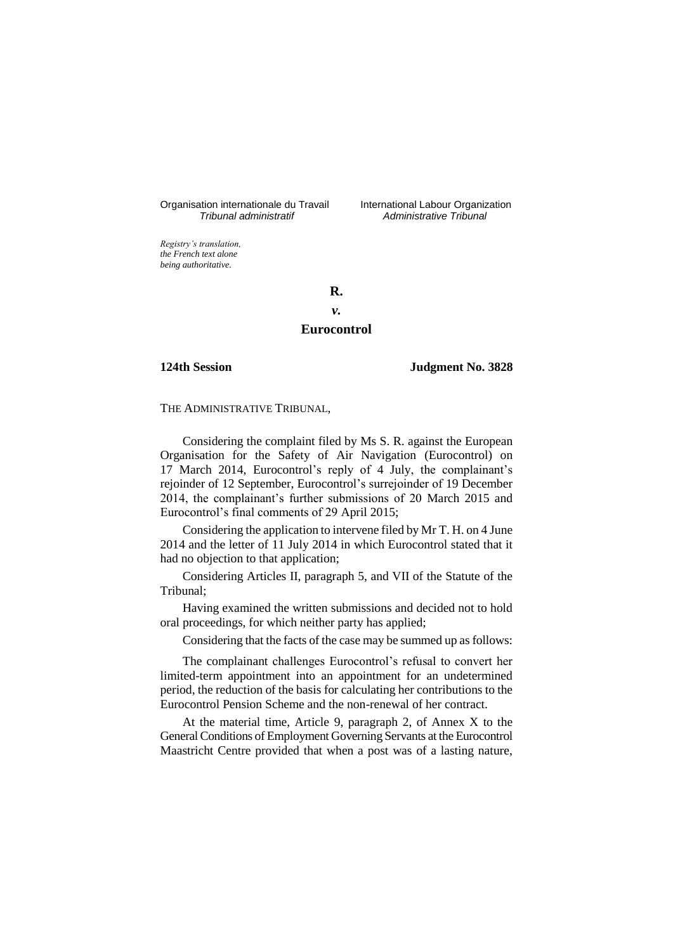Organisation internationale du Travail International Labour Organization<br>*Tribunal administratif Administrative Tribunal* 

*Tribunal administratif Administrative Tribunal*

*Registry's translation, the French text alone being authoritative.*

**R.**

# *v.* **Eurocontrol**

**124th Session Judgment No. 3828**

# THE ADMINISTRATIVE TRIBUNAL,

Considering the complaint filed by Ms S. R. against the European Organisation for the Safety of Air Navigation (Eurocontrol) on 17 March 2014, Eurocontrol's reply of 4 July, the complainant's rejoinder of 12 September, Eurocontrol's surrejoinder of 19 December 2014, the complainant's further submissions of 20 March 2015 and Eurocontrol's final comments of 29 April 2015;

Considering the application to intervene filed by Mr T. H. on 4 June 2014 and the letter of 11 July 2014 in which Eurocontrol stated that it had no objection to that application;

Considering Articles II, paragraph 5, and VII of the Statute of the Tribunal;

Having examined the written submissions and decided not to hold oral proceedings, for which neither party has applied;

Considering that the facts of the case may be summed up as follows:

The complainant challenges Eurocontrol's refusal to convert her limited-term appointment into an appointment for an undetermined period, the reduction of the basis for calculating her contributions to the Eurocontrol Pension Scheme and the non-renewal of her contract.

At the material time, Article 9, paragraph 2, of Annex X to the General Conditions of Employment Governing Servants at the Eurocontrol Maastricht Centre provided that when a post was of a lasting nature,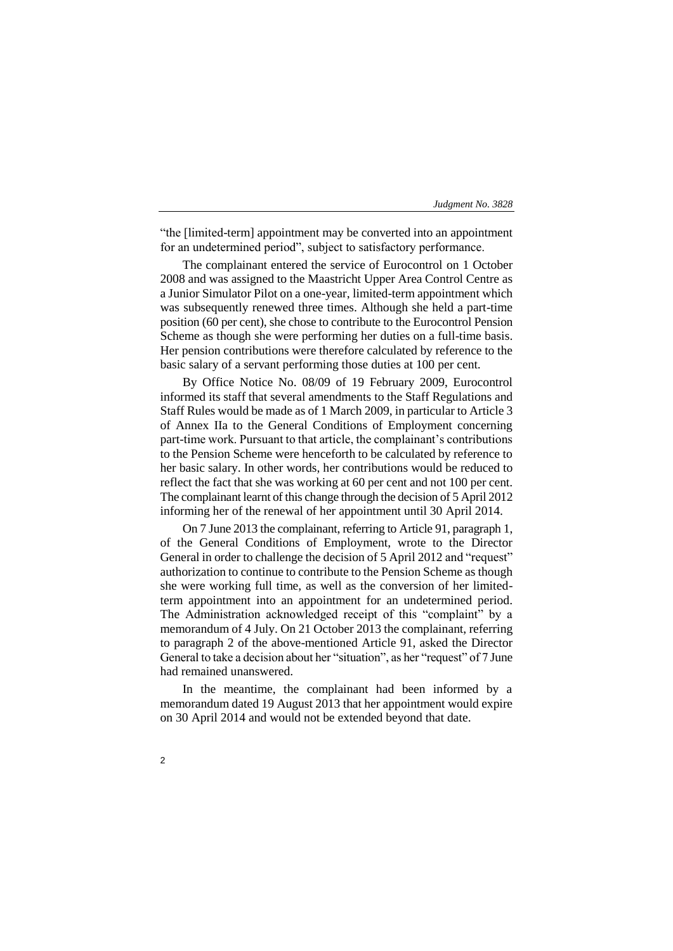"the [limited-term] appointment may be converted into an appointment for an undetermined period", subject to satisfactory performance.

The complainant entered the service of Eurocontrol on 1 October 2008 and was assigned to the Maastricht Upper Area Control Centre as a Junior Simulator Pilot on a one-year, limited-term appointment which was subsequently renewed three times. Although she held a part-time position (60 per cent), she chose to contribute to the Eurocontrol Pension Scheme as though she were performing her duties on a full-time basis. Her pension contributions were therefore calculated by reference to the basic salary of a servant performing those duties at 100 per cent.

By Office Notice No. 08/09 of 19 February 2009, Eurocontrol informed its staff that several amendments to the Staff Regulations and Staff Rules would be made as of 1 March 2009, in particular to Article 3 of Annex IIa to the General Conditions of Employment concerning part-time work. Pursuant to that article, the complainant's contributions to the Pension Scheme were henceforth to be calculated by reference to her basic salary. In other words, her contributions would be reduced to reflect the fact that she was working at 60 per cent and not 100 per cent. The complainant learnt of this change through the decision of 5 April 2012 informing her of the renewal of her appointment until 30 April 2014.

On 7 June 2013 the complainant, referring to Article 91, paragraph 1, of the General Conditions of Employment, wrote to the Director General in order to challenge the decision of 5 April 2012 and "request" authorization to continue to contribute to the Pension Scheme as though she were working full time, as well as the conversion of her limitedterm appointment into an appointment for an undetermined period. The Administration acknowledged receipt of this "complaint" by a memorandum of 4 July. On 21 October 2013 the complainant, referring to paragraph 2 of the above-mentioned Article 91, asked the Director General to take a decision about her "situation", as her "request" of 7 June had remained unanswered.

In the meantime, the complainant had been informed by a memorandum dated 19 August 2013 that her appointment would expire on 30 April 2014 and would not be extended beyond that date.

 $\overline{2}$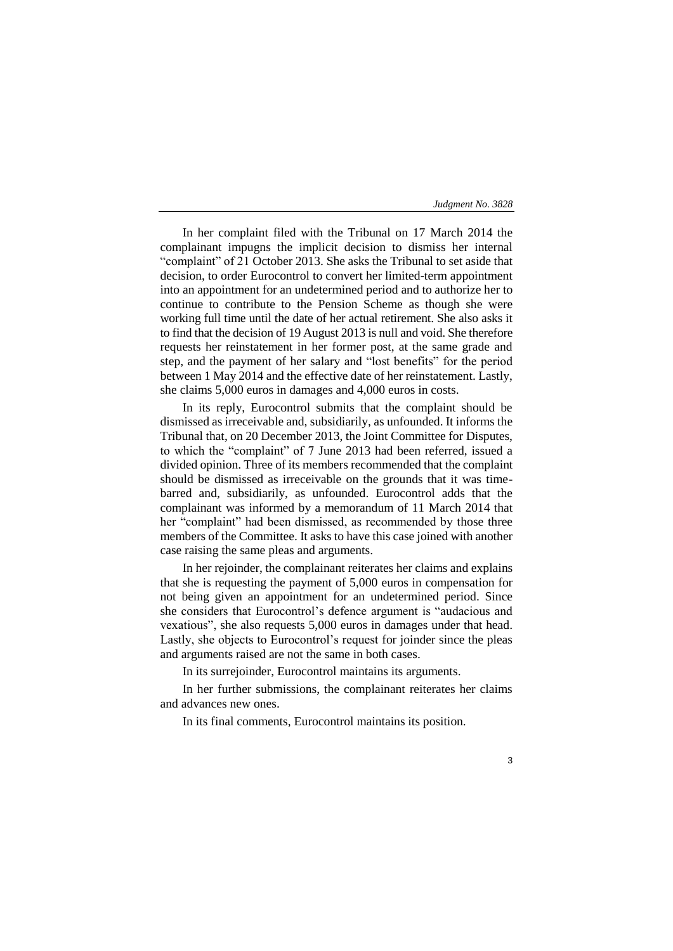In her complaint filed with the Tribunal on 17 March 2014 the complainant impugns the implicit decision to dismiss her internal "complaint" of 21 October 2013. She asks the Tribunal to set aside that decision, to order Eurocontrol to convert her limited-term appointment into an appointment for an undetermined period and to authorize her to continue to contribute to the Pension Scheme as though she were working full time until the date of her actual retirement. She also asks it to find that the decision of 19 August 2013 is null and void. She therefore requests her reinstatement in her former post, at the same grade and step, and the payment of her salary and "lost benefits" for the period between 1 May 2014 and the effective date of her reinstatement. Lastly, she claims 5,000 euros in damages and 4,000 euros in costs.

In its reply, Eurocontrol submits that the complaint should be dismissed as irreceivable and, subsidiarily, as unfounded. It informs the Tribunal that, on 20 December 2013, the Joint Committee for Disputes, to which the "complaint" of 7 June 2013 had been referred, issued a divided opinion. Three of its members recommended that the complaint should be dismissed as irreceivable on the grounds that it was timebarred and, subsidiarily, as unfounded. Eurocontrol adds that the complainant was informed by a memorandum of 11 March 2014 that her "complaint" had been dismissed, as recommended by those three members of the Committee. It asks to have this case joined with another case raising the same pleas and arguments.

In her rejoinder, the complainant reiterates her claims and explains that she is requesting the payment of 5,000 euros in compensation for not being given an appointment for an undetermined period. Since she considers that Eurocontrol's defence argument is "audacious and vexatious", she also requests 5,000 euros in damages under that head. Lastly, she objects to Eurocontrol's request for joinder since the pleas and arguments raised are not the same in both cases.

In its surrejoinder, Eurocontrol maintains its arguments.

In her further submissions, the complainant reiterates her claims and advances new ones.

In its final comments, Eurocontrol maintains its position.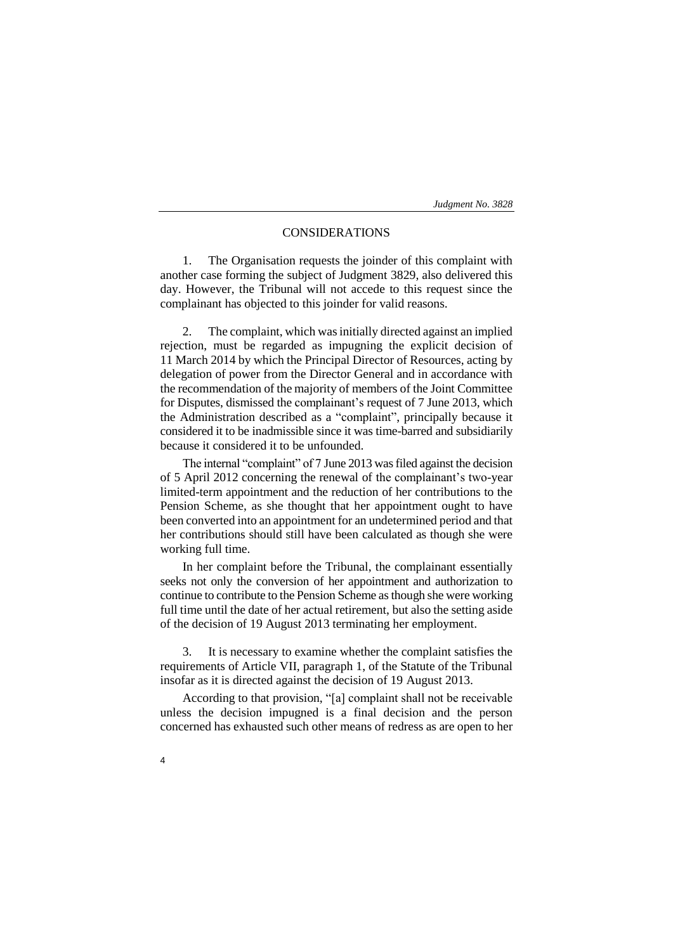# CONSIDERATIONS

1. The Organisation requests the joinder of this complaint with another case forming the subject of Judgment 3829, also delivered this day. However, the Tribunal will not accede to this request since the complainant has objected to this joinder for valid reasons.

2. The complaint, which was initially directed against an implied rejection, must be regarded as impugning the explicit decision of 11 March 2014 by which the Principal Director of Resources, acting by delegation of power from the Director General and in accordance with the recommendation of the majority of members of the Joint Committee for Disputes, dismissed the complainant's request of 7 June 2013, which the Administration described as a "complaint", principally because it considered it to be inadmissible since it was time-barred and subsidiarily because it considered it to be unfounded.

The internal "complaint" of 7 June 2013 was filed against the decision of 5 April 2012 concerning the renewal of the complainant's two-year limited-term appointment and the reduction of her contributions to the Pension Scheme, as she thought that her appointment ought to have been converted into an appointment for an undetermined period and that her contributions should still have been calculated as though she were working full time.

In her complaint before the Tribunal, the complainant essentially seeks not only the conversion of her appointment and authorization to continue to contribute to the Pension Scheme as though she were working full time until the date of her actual retirement, but also the setting aside of the decision of 19 August 2013 terminating her employment.

3. It is necessary to examine whether the complaint satisfies the requirements of Article VII, paragraph 1, of the Statute of the Tribunal insofar as it is directed against the decision of 19 August 2013.

According to that provision, "[a] complaint shall not be receivable unless the decision impugned is a final decision and the person concerned has exhausted such other means of redress as are open to her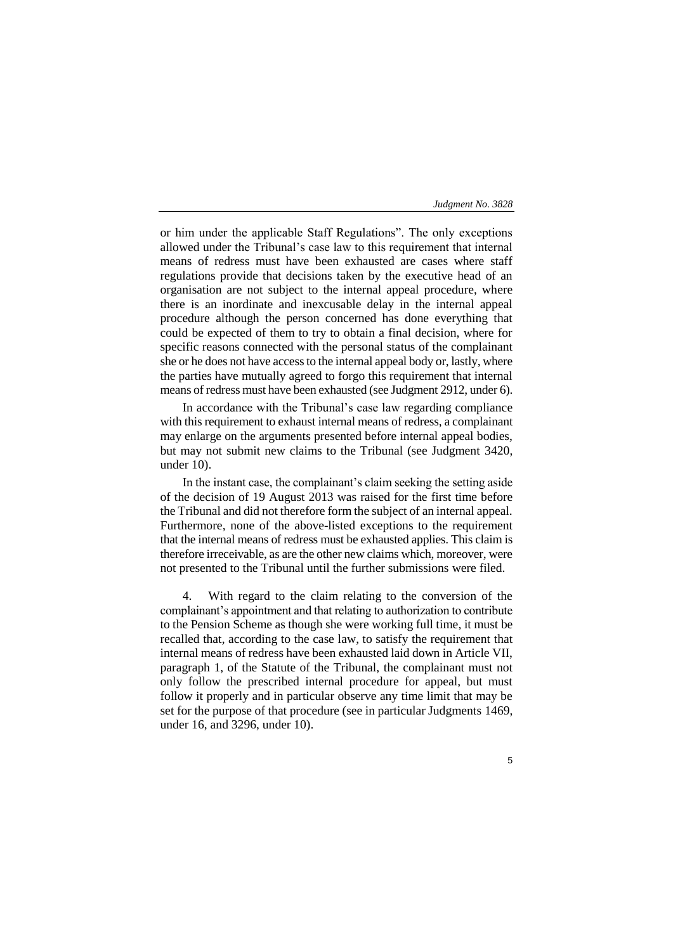or him under the applicable Staff Regulations". The only exceptions allowed under the Tribunal's case law to this requirement that internal means of redress must have been exhausted are cases where staff regulations provide that decisions taken by the executive head of an organisation are not subject to the internal appeal procedure, where there is an inordinate and inexcusable delay in the internal appeal procedure although the person concerned has done everything that could be expected of them to try to obtain a final decision, where for specific reasons connected with the personal status of the complainant she or he does not have access to the internal appeal body or, lastly, where the parties have mutually agreed to forgo this requirement that internal means of redress must have been exhausted (see Judgment 2912, under 6).

In accordance with the Tribunal's case law regarding compliance with this requirement to exhaust internal means of redress, a complainant may enlarge on the arguments presented before internal appeal bodies, but may not submit new claims to the Tribunal (see Judgment 3420, under 10).

In the instant case, the complainant's claim seeking the setting aside of the decision of 19 August 2013 was raised for the first time before the Tribunal and did not therefore form the subject of an internal appeal. Furthermore, none of the above-listed exceptions to the requirement that the internal means of redress must be exhausted applies. This claim is therefore irreceivable, as are the other new claims which, moreover, were not presented to the Tribunal until the further submissions were filed.

4. With regard to the claim relating to the conversion of the complainant's appointment and that relating to authorization to contribute to the Pension Scheme as though she were working full time, it must be recalled that, according to the case law, to satisfy the requirement that internal means of redress have been exhausted laid down in Article VII, paragraph 1, of the Statute of the Tribunal, the complainant must not only follow the prescribed internal procedure for appeal, but must follow it properly and in particular observe any time limit that may be set for the purpose of that procedure (see in particular Judgments 1469, under 16, and 3296, under 10).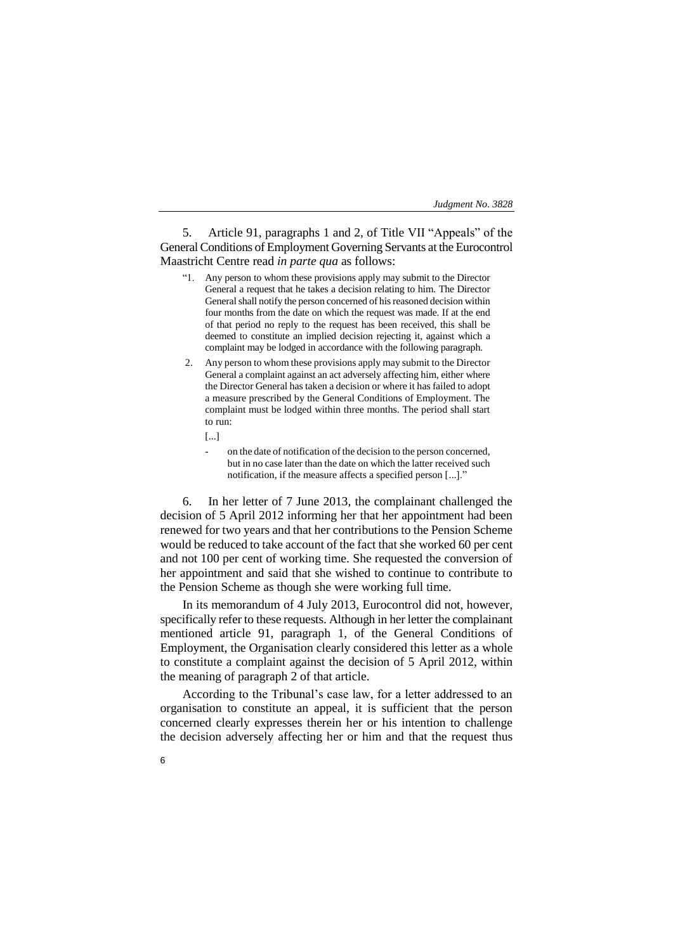5. Article 91, paragraphs 1 and 2, of Title VII "Appeals" of the General Conditions of Employment Governing Servants at the Eurocontrol Maastricht Centre read *in parte qua* as follows:

- "1. Any person to whom these provisions apply may submit to the Director General a request that he takes a decision relating to him. The Director General shall notify the person concerned of his reasoned decision within four months from the date on which the request was made. If at the end of that period no reply to the request has been received, this shall be deemed to constitute an implied decision rejecting it, against which a complaint may be lodged in accordance with the following paragraph.
- 2. Any person to whom these provisions apply may submit to the Director General a complaint against an act adversely affecting him, either where the Director General has taken a decision or where it has failed to adopt a measure prescribed by the General Conditions of Employment. The complaint must be lodged within three months. The period shall start to run:
	- [...]
		- on the date of notification of the decision to the person concerned, but in no case later than the date on which the latter received such notification, if the measure affects a specified person [...]."

6. In her letter of 7 June 2013, the complainant challenged the decision of 5 April 2012 informing her that her appointment had been renewed for two years and that her contributions to the Pension Scheme would be reduced to take account of the fact that she worked 60 per cent and not 100 per cent of working time. She requested the conversion of her appointment and said that she wished to continue to contribute to the Pension Scheme as though she were working full time.

In its memorandum of 4 July 2013, Eurocontrol did not, however, specifically refer to these requests. Although in her letter the complainant mentioned article 91, paragraph 1, of the General Conditions of Employment, the Organisation clearly considered this letter as a whole to constitute a complaint against the decision of 5 April 2012, within the meaning of paragraph 2 of that article.

According to the Tribunal's case law, for a letter addressed to an organisation to constitute an appeal, it is sufficient that the person concerned clearly expresses therein her or his intention to challenge the decision adversely affecting her or him and that the request thus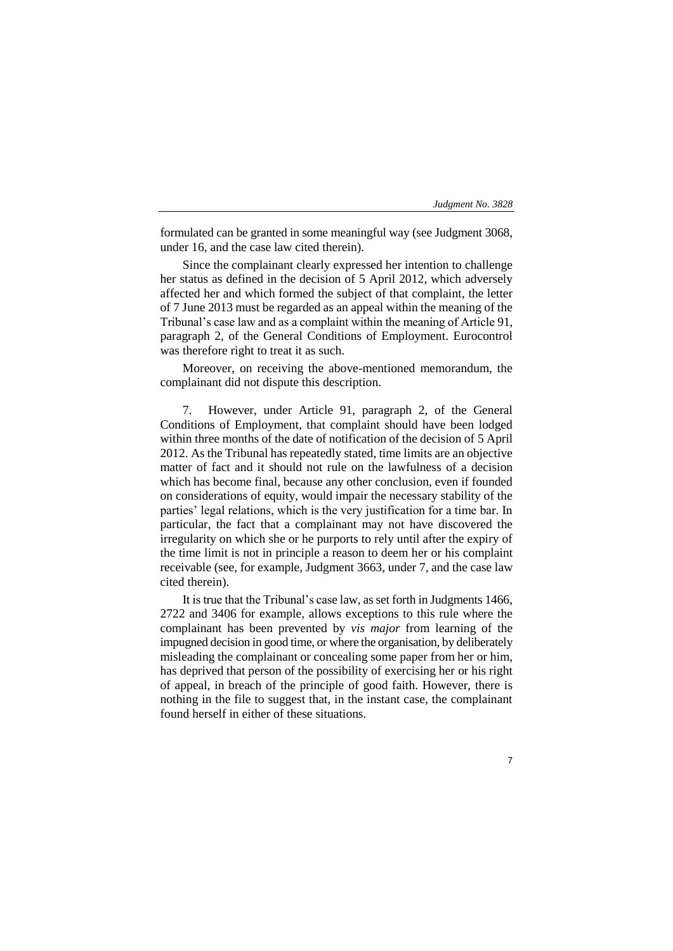formulated can be granted in some meaningful way (see Judgment 3068, under 16, and the case law cited therein).

Since the complainant clearly expressed her intention to challenge her status as defined in the decision of 5 April 2012, which adversely affected her and which formed the subject of that complaint, the letter of 7 June 2013 must be regarded as an appeal within the meaning of the Tribunal's case law and as a complaint within the meaning of Article 91, paragraph 2, of the General Conditions of Employment. Eurocontrol was therefore right to treat it as such.

Moreover, on receiving the above-mentioned memorandum, the complainant did not dispute this description.

7. However, under Article 91, paragraph 2, of the General Conditions of Employment, that complaint should have been lodged within three months of the date of notification of the decision of 5 April 2012. As the Tribunal has repeatedly stated, time limits are an objective matter of fact and it should not rule on the lawfulness of a decision which has become final, because any other conclusion, even if founded on considerations of equity, would impair the necessary stability of the parties' legal relations, which is the very justification for a time bar. In particular, the fact that a complainant may not have discovered the irregularity on which she or he purports to rely until after the expiry of the time limit is not in principle a reason to deem her or his complaint receivable (see, for example, Judgment 3663, under 7, and the case law cited therein).

It is true that the Tribunal's case law, as set forth in Judgments 1466, 2722 and 3406 for example, allows exceptions to this rule where the complainant has been prevented by *vis major* from learning of the impugned decision in good time, or where the organisation, by deliberately misleading the complainant or concealing some paper from her or him, has deprived that person of the possibility of exercising her or his right of appeal, in breach of the principle of good faith. However, there is nothing in the file to suggest that, in the instant case, the complainant found herself in either of these situations.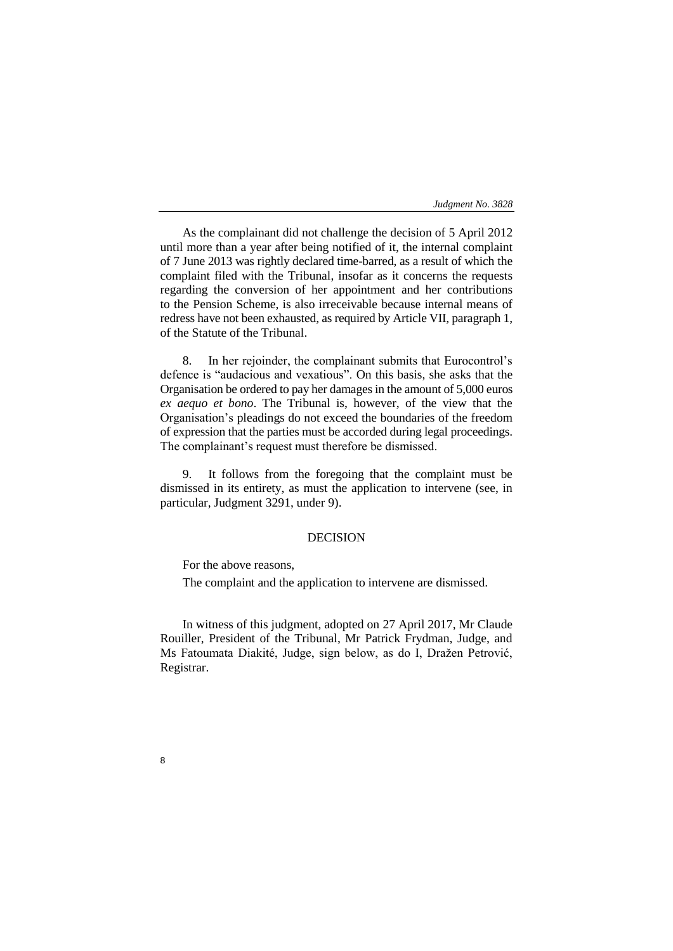As the complainant did not challenge the decision of 5 April 2012 until more than a year after being notified of it, the internal complaint of 7 June 2013 was rightly declared time-barred, as a result of which the complaint filed with the Tribunal, insofar as it concerns the requests regarding the conversion of her appointment and her contributions to the Pension Scheme, is also irreceivable because internal means of redress have not been exhausted, as required by Article VII, paragraph 1, of the Statute of the Tribunal.

8. In her rejoinder, the complainant submits that Eurocontrol's defence is "audacious and vexatious". On this basis, she asks that the Organisation be ordered to pay her damages in the amount of 5,000 euros *ex aequo et bono*. The Tribunal is, however, of the view that the Organisation's pleadings do not exceed the boundaries of the freedom of expression that the parties must be accorded during legal proceedings. The complainant's request must therefore be dismissed.

9. It follows from the foregoing that the complaint must be dismissed in its entirety, as must the application to intervene (see, in particular, Judgment 3291, under 9).

# DECISION

For the above reasons,

8

The complaint and the application to intervene are dismissed.

In witness of this judgment, adopted on 27 April 2017, Mr Claude Rouiller, President of the Tribunal, Mr Patrick Frydman, Judge, and Ms Fatoumata Diakité, Judge, sign below, as do I, Dražen Petrović, Registrar.